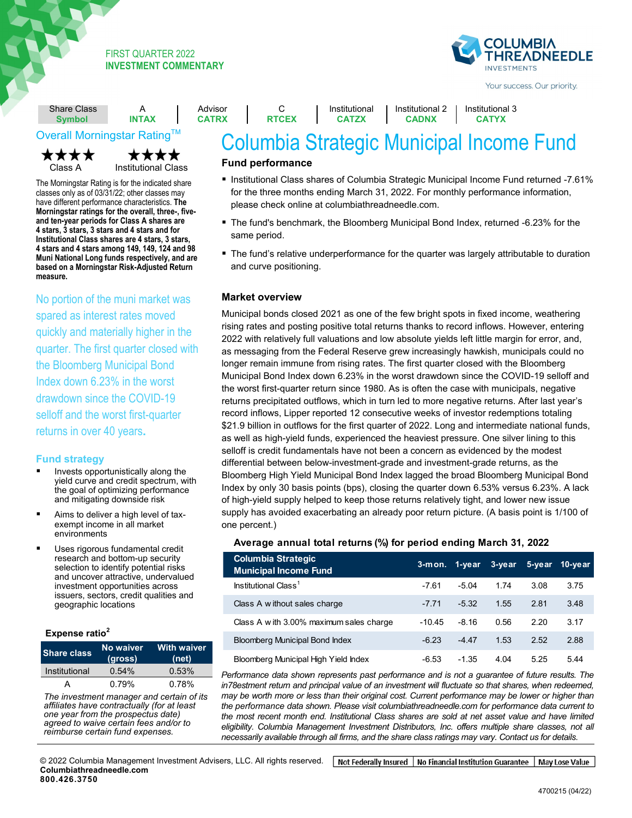## FIRST QUARTER 2022 **INVESTMENT COMMENTARY**



Institutional 3 **CATYX**

Your success. Our priority.

| <b>Share Class</b> |              | Advisor      |
|--------------------|--------------|--------------|
| <b>Symbol</b>      | <b>INTAX</b> | <b>CATRX</b> |
|                    |              |              |



Class A Institutional Class

**Fund strategy** have different performance characteristics. **The**  ▪ **> Invests in good-quality and ten-year periods for Class A shares are small- and mid-cap stocks** that **4 stars, 3 stars, 3 stars and 4 stars and for**  appear undervalued relative to their **4 stars and 4 stars among 149, 149, 124 and 98 Muni National Long funds respectively, and are example to a time of the set of the set of the set of the set of the set of the set of the set of the set of the set of the set of the set of the set of the set of the set of the set of the set of the set of the set of th** The Morningstar Rating is for the indicated share classes only as of 03/31/22; other classes may **Morningstar ratings for the overall, three-, five-Institutional Class shares are 4 stars, 3 stars, based on a Morningstar Risk-Adjusted Return measure.** 

No portion of the muni market was spared as interest rates moved quickly and materially higher in the management team, supported by a quarter. The first quarter closed with the Bloomberg Municipal Bond Index down 6.23% in the worst drawdown since the COVID-19 selloff and the worst first-quarter returns in over 40 years**.**

## **Fund strategy**

- Invests opportunistically along the yield curve and credit spectrum, with the goal of optimizing performance and mitigating downside risk
- Aims to deliver a high level of taxexempt income in all market environments
- Uses rigorous fundamental credit research and bottom-up security selection to identify potential risks and uncover attractive, undervalued investment opportunities across issuers, sectors, credit qualities and geographic locations

#### **Expense ratio<sup>2</sup>**

| <b>Share class</b> | No waiver<br>(gross) | <b>With waiver</b><br>(net) |
|--------------------|----------------------|-----------------------------|
| Institutional      | 0.54%                | 0.53%                       |
|                    | 0.79%                | 0.78%                       |

 $\frac{1}{\pi}$ rne in<br>L<sup>ecili</sup>ot ▪**Without waiver**  rii mana<br>Looptro ▪**With waiver**  The investment manager and certain of its *perfiliates* have contractually *for at logat* one year from the prospectus date) ▪ Z ▪ 0.79% ▪ — *reimburse certain fund expenses. affiliates have contractually (for at least agreed to waive certain fees and/or to* 

## **Fund performance**

C **RTCEX**

■ Institutional Class shares of Columbia Strategic Municipal Income Fund returned -7.61% for the three months ending March 31, 2022. For monthly performance information, please check online at columbiathreadneedle.com.

Columbia Strategic Municipal Income Fund

Institutional 2 **CADNX**

Institutional **CATZX**

- The fund's benchmark, the Bloomberg Municipal Bond Index, returned -6.23% for the same period.
- The fund's relative underperformance for the quarter was largely attributable to duration and curve positioning.

#### **Market overview**

Municipal bonds closed 2021 as one of the few bright spots in fixed income, weathering rising rates and posting positive total returns thanks to record inflows. However, entering 2022 with relatively full valuations and low absolute yields left little margin for error, and, as messaging from the Federal Reserve grew increasingly hawkish, municipals could no longer remain immune from rising rates. The first quarter closed with the Bloomberg Municipal Bond Index down 6.23% in the worst drawdown since the COVID-19 selloff and the worst first-quarter return since 1980. As is often the case with municipals, negative returns precipitated outflows, which in turn led to more negative returns. After last year's record inflows, Lipper reported 12 consecutive weeks of investor redemptions totaling \$21.9 billion in outflows for the first quarter of 2022. Long and intermediate national funds, as well as high-yield funds, experienced the heaviest pressure. One silver lining to this selloff is credit fundamentals have not been a concern as evidenced by the modest differential between below-investment-grade and investment-grade returns, as the Bloomberg High Yield Municipal Bond Index lagged the broad Bloomberg Municipal Bond Index by only 30 basis points (bps), closing the quarter down 6.53% versus 6.23%. A lack of high-yield supply helped to keep those returns relatively tight, and lower new issue supply has avoided exacerbating an already poor return picture. (A basis point is 1/100 of one percent.)

| <b>Columbia Strategic</b><br><b>Municipal Income Fund</b> |          |         | 3-mon. 1-year 3-year 5-year 10-year |      |      |
|-----------------------------------------------------------|----------|---------|-------------------------------------|------|------|
| Institutional Class <sup>1</sup>                          | $-7.61$  | $-5.04$ | 1.74                                | 3.08 | 3.75 |
| Class A w ithout sales charge                             | $-7.71$  | $-5.32$ | 1.55                                | 2.81 | 3.48 |
| Class A w ith 3.00% maximum sales charge                  | $-10.45$ | $-8.16$ | 0.56                                | 2.20 | 3.17 |
| <b>Bloomberg Municipal Bond Index</b>                     | $-6.23$  | $-4.47$ | 1.53                                | 2.52 | 2.88 |
| Bloomberg Municipal High Yield Index                      | $-6.53$  | $-1.35$ | 4.04                                | 5.25 | 5.44 |

**Average annual total returns (%) for period ending March 31, 2022**

*Performance data shown represents past performance and is not a guarantee of future results. The*  in78estment return and principal value of an investment will fluctuate so that shares, when redeemed, *may be worth more or less than their original cost. Current performance may be lower or higher than the performance data shown. Please visit columbiathreadneedle.com for performance data current to the most recent month end. Institutional Class shares are sold at net asset value and have limited eligibility. Columbia Management Investment Distributors, Inc. offers multiple share classes, not all necessarily available through all firms, and the share class ratings may vary. Contact us for details.*

Not Federally Insured | No Financial Institution Guarantee | May Lose Value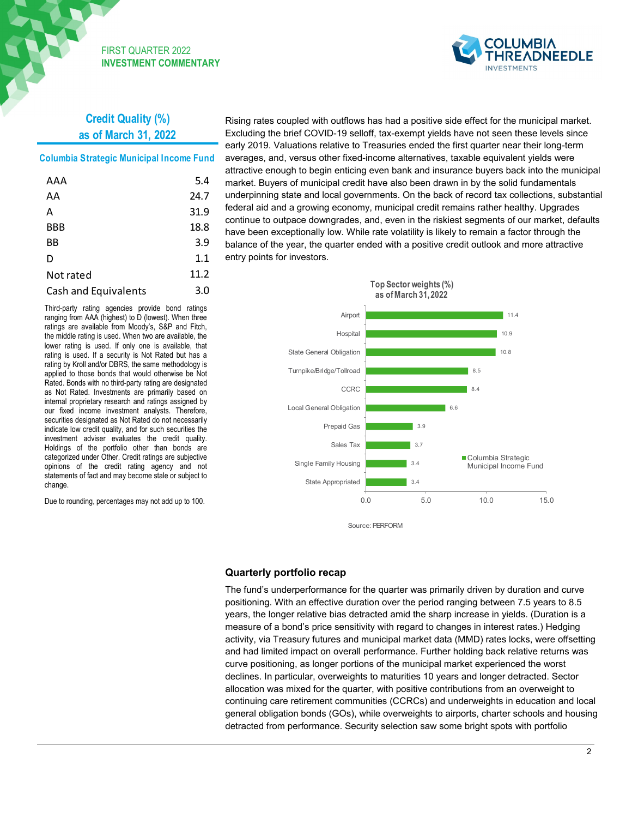

# **Credit Quality (%) as of March 31, 2022**

FIRST QUARTER 2022 **INVESTMENT COMMENTARY**

## **Columbia Strategic Municipal Income Fund**

| AAA                         | 5.4  |
|-----------------------------|------|
| AA                          | 24.7 |
| А                           | 31.9 |
| <b>BBB</b>                  | 18.8 |
| ΒB                          | 3.9  |
| D                           | 1.1  |
| Not rated                   | 11.2 |
| <b>Cash and Equivalents</b> | 3.0  |

Third-party rating agencies provide bond ratings ranging from AAA (highest) to D (lowest). When three ratings are available from Moody's, S&P and Fitch, the middle rating is used. When two are available, the lower rating is used. If only one is available, that rating is used. If a security is Not Rated but has a rating by Kroll and/or DBRS, the same methodology is applied to those bonds that would otherwise be Not Rated. Bonds with no third-party rating are designated as Not Rated. Investments are primarily based on internal proprietary research and ratings assigned by our fixed income investment analysts. Therefore, securities designated as Not Rated do not necessarily indicate low credit quality, and for such securities the investment adviser evaluates the credit quality. Holdings of the portfolio other than bonds are categorized under Other. Credit ratings are subjective opinions of the credit rating agency and not statements of fact and may become stale or subject to change.

Due to rounding, percentages may not add up to 100.

Rising rates coupled with outflows has had a positive side effect for the municipal market. Excluding the brief COVID-19 selloff, tax-exempt yields have not seen these levels since early 2019. Valuations relative to Treasuries ended the first quarter near their long-term averages, and, versus other fixed-income alternatives, taxable equivalent yields were attractive enough to begin enticing even bank and insurance buyers back into the municipal market. Buyers of municipal credit have also been drawn in by the solid fundamentals underpinning state and local governments. On the back of record tax collections, substantial federal aid and a growing economy, municipal credit remains rather healthy. Upgrades continue to outpace downgrades, and, even in the riskiest segments of our market, defaults have been exceptionally low. While rate volatility is likely to remain a factor through the balance of the year, the quarter ended with a positive credit outlook and more attractive entry points for investors.



Source: PERFORM

#### **Quarterly portfolio recap**

The fund's underperformance for the quarter was primarily driven by duration and curve positioning. With an effective duration over the period ranging between 7.5 years to 8.5 years, the longer relative bias detracted amid the sharp increase in yields. (Duration is a measure of a bond's price sensitivity with regard to changes in interest rates.) Hedging activity, via Treasury futures and municipal market data (MMD) rates locks, were offsetting and had limited impact on overall performance. Further holding back relative returns was curve positioning, as longer portions of the municipal market experienced the worst declines. In particular, overweights to maturities 10 years and longer detracted. Sector allocation was mixed for the quarter, with positive contributions from an overweight to continuing care retirement communities (CCRCs) and underweights in education and local general obligation bonds (GOs), while overweights to airports, charter schools and housing detracted from performance. Security selection saw some bright spots with portfolio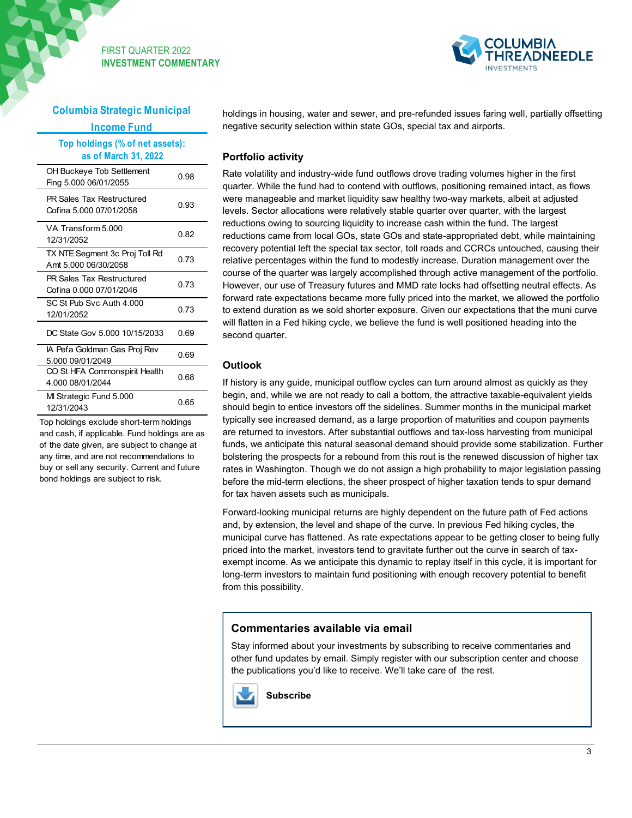



**Columbia Strategic Municipal Income Fund**

| Top holdings (% of net assets):<br>as of March 31, 2022 |      |
|---------------------------------------------------------|------|
| OH Buckeye Tob Settlement<br>Fing 5.000 06/01/2055      | 0 98 |
| PR Sales Tax Restructured<br>Cofina 5,000 07/01/2058    | 0.93 |
| VA Transform 5,000<br>12/31/2052                        | 0.82 |
| TX NTE Segment 3c Proj Toll Rd<br>Amt 5.000 06/30/2058  | 0.73 |
| PR Sales Tax Restructured<br>Cofina 0.000 07/01/2046    | 0.73 |
| SC St Pub Svc Auth 4,000<br>12/01/2052                  | 0.73 |
| DC State Gov 5,000 10/15/2033                           | 0.69 |
| IA Pefa Goldman Gas Proj Rev<br>5.000 09/01/2049        | 0.69 |
| CO St HFA Commonspirit Health<br>4 000 08/01/2044       | 0 68 |
| MI Strategic Fund 5.000<br>12/31/2043                   | 0.65 |

Top holdings exclude short-term holdings and cash, if applicable. Fund holdings are as of the date given, are subject to change at any time, and are not recommendations to buy or sell any security. Current and future bond holdings are subject to risk.

holdings in housing, water and sewer, and pre-refunded issues faring well, partially offsetting negative security selection within state GOs, special tax and airports.

## **Portfolio activity**

Rate volatility and industry-wide fund outflows drove trading volumes higher in the first quarter. While the fund had to contend with outflows, positioning remained intact, as flows were manageable and market liquidity saw healthy two-way markets, albeit at adjusted levels. Sector allocations were relatively stable quarter over quarter, with the largest reductions owing to sourcing liquidity to increase cash within the fund. The largest reductions came from local GOs, state GOs and state-appropriated debt, while maintaining recovery potential left the special tax sector, toll roads and CCRCs untouched, causing their relative percentages within the fund to modestly increase. Duration management over the course of the quarter was largely accomplished through active management of the portfolio. However, our use of Treasury futures and MMD rate locks had offsetting neutral effects. As forward rate expectations became more fully priced into the market, we allowed the portfolio to extend duration as we sold shorter exposure. Given our expectations that the muni curve will flatten in a Fed hiking cycle, we believe the fund is well positioned heading into the second quarter.

## **Outlook**

If history is any guide, municipal outflow cycles can turn around almost as quickly as they begin, and, while we are not ready to call a bottom, the attractive taxable-equivalent yields should begin to entice investors off the sidelines. Summer months in the municipal market typically see increased demand, as a large proportion of maturities and coupon payments are returned to investors. After substantial outflows and tax-loss harvesting from municipal funds, we anticipate this natural seasonal demand should provide some stabilization. Further bolstering the prospects for a rebound from this rout is the renewed discussion of higher tax rates in Washington. Though we do not assign a high probability to major legislation passing before the mid-term elections, the sheer prospect of higher taxation tends to spur demand for tax haven assets such as municipals.

Forward-looking municipal returns are highly dependent on the future path of Fed actions and, by extension, the level and shape of the curve. In previous Fed hiking cycles, the municipal curve has flattened. As rate expectations appear to be getting closer to being fully priced into the market, investors tend to gravitate further out the curve in search of taxexempt income. As we anticipate this dynamic to replay itself in this cycle, it is important for long-term investors to maintain fund positioning with enough recovery potential to benefit from this possibility.

## **Commentaries available via email**

Stay informed about your investments by subscribing to receive commentaries and other fund updates by email. Simply register with our subscription center and choose the publications you'd like to receive. We'll take care of the rest.